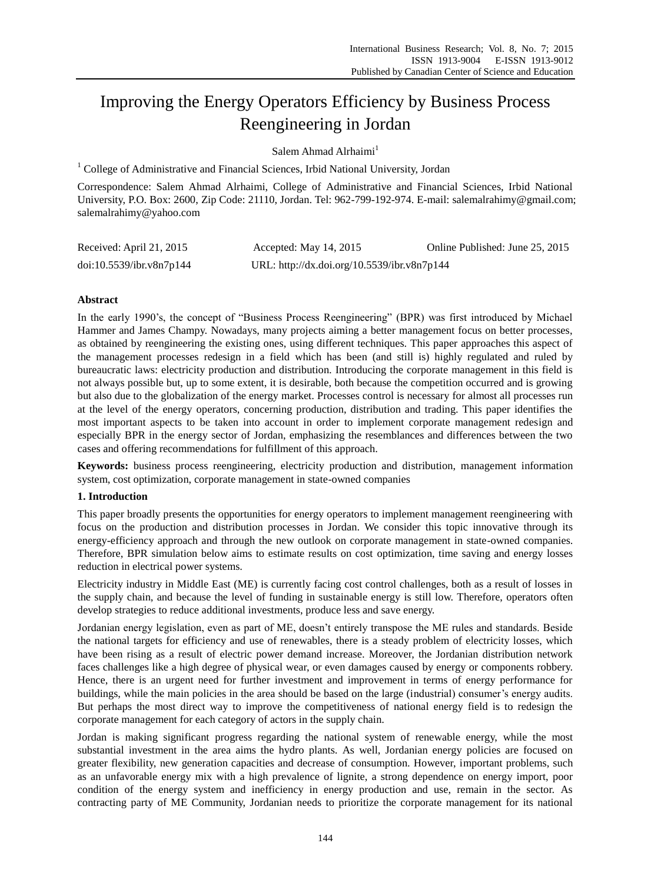# Improving the Energy Operators Efficiency by Business Process Reengineering in Jordan

Salem Ahmad Alrhaimi<sup>1</sup>

<sup>1</sup> College of Administrative and Financial Sciences, Irbid National University, Jordan

Correspondence: Salem Ahmad Alrhaimi, College of Administrative and Financial Sciences, Irbid National University, P.O. Box: 2600, Zip Code: 21110, Jordan. Tel: 962-799-192-974. E-mail: [salemalrahimy@gmail.com;](mailto:salemalrahimy@gmail.com) [salemalrahimy@yahoo.com](mailto:salemalrahimy@yahoo.com)

| Received: April 21, 2015 | Accepted: May $14, 2015$                    | Online Published: June 25, 2015 |
|--------------------------|---------------------------------------------|---------------------------------|
| doi:10.5539/ibr.v8n7p144 | URL: http://dx.doi.org/10.5539/ibr.v8n7p144 |                                 |

# **Abstract**

In the early 1990's, the concept of "Business Process Reengineering" (BPR) was first introduced by Michael Hammer and James Champy. Nowadays, many projects aiming a better management focus on better processes, as obtained by reengineering the existing ones, using different techniques. This paper approaches this aspect of the management processes redesign in a field which has been (and still is) highly regulated and ruled by bureaucratic laws: electricity production and distribution. Introducing the corporate management in this field is not always possible but, up to some extent, it is desirable, both because the competition occurred and is growing but also due to the globalization of the energy market. Processes control is necessary for almost all processes run at the level of the energy operators, concerning production, distribution and trading. This paper identifies the most important aspects to be taken into account in order to implement corporate management redesign and especially BPR in the energy sector of Jordan, emphasizing the resemblances and differences between the two cases and offering recommendations for fulfillment of this approach.

**Keywords:** business process reengineering, electricity production and distribution, management information system, cost optimization, corporate management in state-owned companies

## **1. Introduction**

This paper broadly presents the opportunities for energy operators to implement management reengineering with focus on the production and distribution processes in Jordan. We consider this topic innovative through its energy-efficiency approach and through the new outlook on corporate management in state-owned companies. Therefore, BPR simulation below aims to estimate results on cost optimization, time saving and energy losses reduction in electrical power systems.

Electricity industry in Middle East (ME) is currently facing cost control challenges, both as a result of losses in the supply chain, and because the level of funding in sustainable energy is still low. Therefore, operators often develop strategies to reduce additional investments, produce less and save energy.

Jordanian energy legislation, even as part of ME, doesn't entirely transpose the ME rules and standards. Beside the national targets for efficiency and use of renewables, there is a steady problem of electricity losses, which have been rising as a result of electric power demand increase. Moreover, the Jordanian distribution network faces challenges like a high degree of physical wear, or even damages caused by energy or components robbery. Hence, there is an urgent need for further investment and improvement in terms of energy performance for buildings, while the main policies in the area should be based on the large (industrial) consumer's energy audits. But perhaps the most direct way to improve the competitiveness of national energy field is to redesign the corporate management for each category of actors in the supply chain.

Jordan is making significant progress regarding the national system of renewable energy, while the most substantial investment in the area aims the hydro plants. As well, Jordanian energy policies are focused on greater flexibility, new generation capacities and decrease of consumption. However, important problems, such as an unfavorable energy mix with a high prevalence of lignite, a strong dependence on energy import, poor condition of the energy system and inefficiency in energy production and use, remain in the sector. As contracting party of ME Community, Jordanian needs to prioritize the corporate management for its national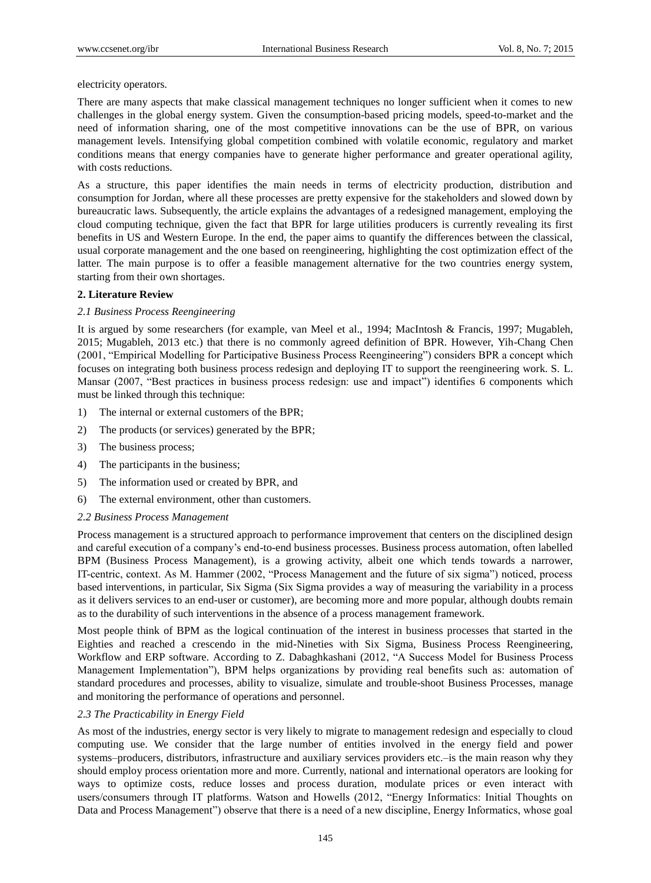electricity operators.

There are many aspects that make classical management techniques no longer sufficient when it comes to new challenges in the global energy system. Given the consumption-based pricing models, speed-to-market and the need of information sharing, one of the most competitive innovations can be the use of BPR, on various management levels. Intensifying global competition combined with volatile economic, regulatory and market conditions means that energy companies have to generate higher performance and greater operational agility, with costs reductions.

As a structure, this paper identifies the main needs in terms of electricity production, distribution and consumption for Jordan, where all these processes are pretty expensive for the stakeholders and slowed down by bureaucratic laws. Subsequently, the article explains the advantages of a redesigned management, employing the cloud computing technique, given the fact that BPR for large utilities producers is currently revealing its first benefits in US and Western Europe. In the end, the paper aims to quantify the differences between the classical, usual corporate management and the one based on reengineering, highlighting the cost optimization effect of the latter. The main purpose is to offer a feasible management alternative for the two countries energy system, starting from their own shortages.

## **2. Literature Review**

#### *2.1 Business Process Reengineering*

It is argued by some researchers (for example, van Meel et al., 1994; MacIntosh & Francis, 1997; Mugableh, 2015; Mugableh, 2013 etc.) that there is no commonly agreed definition of BPR. However, Yih-Chang Chen (2001, "Empirical Modelling for Participative Business Process Reengineering") considers BPR a concept which focuses on integrating both business process redesign and deploying IT to support the reengineering work. S. L. Mansar (2007, "Best practices in business process redesign: use and impact") identifies 6 components which must be linked through this technique:

- 1) The internal or external customers of the BPR;
- 2) The products (or services) generated by the BPR;
- 3) The business process;
- 4) The participants in the business;
- 5) The information used or created by BPR, and
- 6) The external environment, other than customers.

#### *2.2 Business Process Management*

Process management is a structured approach to performance improvement that centers on the disciplined design and careful execution of a company's end-to-end business processes. Business process automation, often labelled BPM (Business Process Management), is a growing activity, albeit one which tends towards a narrower, IT-centric, context. As M. Hammer (2002, "Process Management and the future of six sigma") noticed, process based interventions, in particular, Six Sigma (Six Sigma provides a way of measuring the variability in a process as it delivers services to an end-user or customer), are becoming more and more popular, although doubts remain as to the durability of such interventions in the absence of a process management framework.

Most people think of BPM as the logical continuation of the interest in business processes that started in the Eighties and reached a crescendo in the mid-Nineties with Six Sigma, Business Process Reengineering, Workflow and ERP software. According to Z. Dabaghkashani (2012, "A Success Model for Business Process Management Implementation"), BPM helps organizations by providing real benefits such as: automation of standard procedures and processes, ability to visualize, simulate and trouble-shoot Business Processes, manage and monitoring the performance of operations and personnel.

## *2.3 The Practicability in Energy Field*

As most of the industries, energy sector is very likely to migrate to management redesign and especially to cloud computing use. We consider that the large number of entities involved in the energy field and power systems–producers, distributors, infrastructure and auxiliary services providers etc.–is the main reason why they should employ process orientation more and more. Currently, national and international operators are looking for ways to optimize costs, reduce losses and process duration, modulate prices or even interact with users/consumers through IT platforms. Watson and Howells (2012, "Energy Informatics: Initial Thoughts on Data and Process Management") observe that there is a need of a new discipline, Energy Informatics, whose goal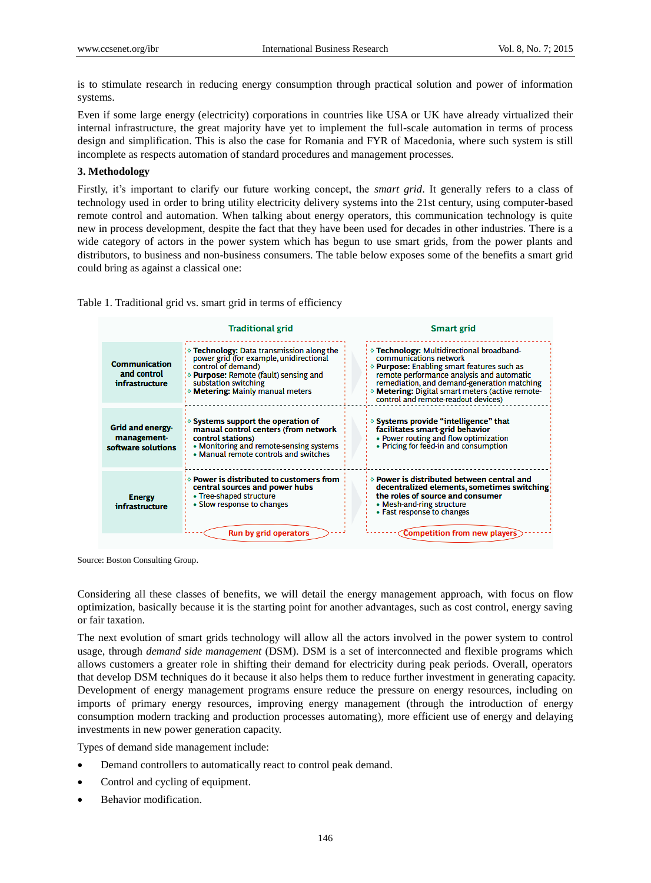is to stimulate research in reducing energy consumption through practical solution and power of information systems.

Even if some large energy (electricity) corporations in countries like USA or UK have already virtualized their internal infrastructure, the great majority have yet to implement the full-scale automation in terms of process design and simplification. This is also the case for Romania and FYR of Macedonia, where such system is still incomplete as respects automation of standard procedures and management processes.

## **3. Methodology**

Firstly, it's important to clarify our future working concept, the *smart grid*. It generally refers to a class of technology used in order to bring utility electricity delivery systems into the 21st century, using computer-based remote control and automation. When talking about energy operators, this communication technology is quite new in process development, despite the fact that they have been used for decades in other industries. There is a wide category of actors in the power system which has begun to use smart grids, from the power plants and distributors, to business and non-business consumers. The table below exposes some of the benefits a smart grid could bring as against a classical one:



Table 1. Traditional grid vs. smart grid in terms of efficiency

Source: Boston Consulting Group.

Considering all these classes of benefits, we will detail the energy management approach, with focus on flow optimization, basically because it is the starting point for another advantages, such as cost control, energy saving or fair taxation.

The next evolution of smart grids technology will allow all the actors involved in the power system to control usage, through *demand side management* (DSM). DSM is a set of interconnected and flexible programs which allows customers a greater role in shifting their demand for electricity during peak periods. Overall, operators that develop DSM techniques do it because it also helps them to reduce further investment in generating capacity. Development of energy management programs ensure reduce the pressure on energy resources, including on imports of primary energy resources, improving energy management (through the introduction of energy consumption modern tracking and production processes automating), more efficient use of energy and delaying investments in new power generation capacity.

Types of demand side management include:

- Demand controllers to automatically react to control peak demand.
- Control and cycling of equipment.
- Behavior modification.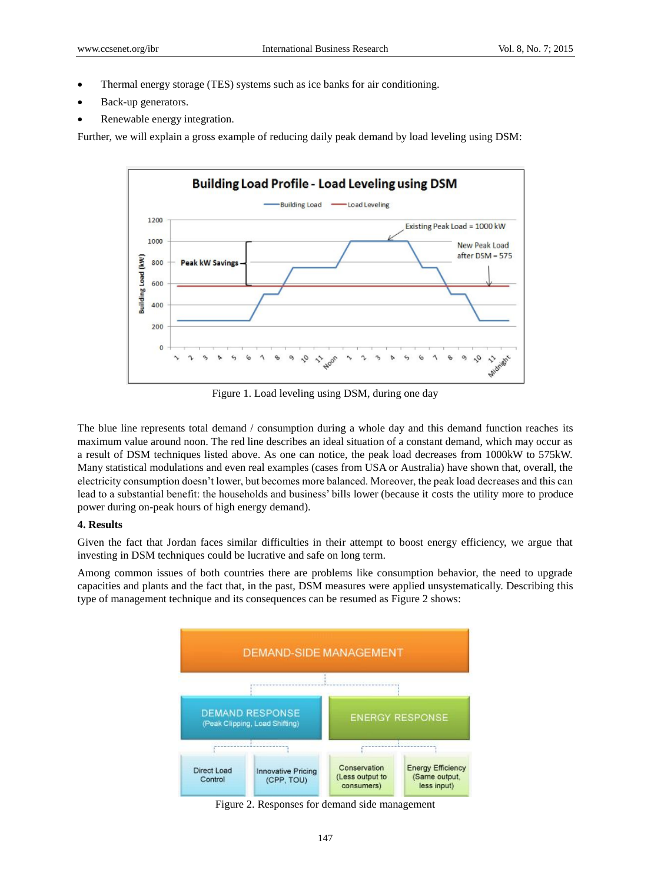- Thermal energy storage (TES) systems such as ice banks for air conditioning.
- Back-up generators.
- Renewable energy integration.

Further, we will explain a gross example of reducing daily peak demand by load leveling using DSM:



Figure 1. Load leveling using DSM, during one day

The blue line represents total demand / consumption during a whole day and this demand function reaches its maximum value around noon. The red line describes an ideal situation of a constant demand, which may occur as a result of DSM techniques listed above. As one can notice, the peak load decreases from 1000kW to 575kW. Many statistical modulations and even real examples (cases from USA or Australia) have shown that, overall, the electricity consumption doesn't lower, but becomes more balanced. Moreover, the peak load decreases and this can lead to a substantial benefit: the households and business' bills lower (because it costs the utility more to produce power during on-peak hours of high energy demand).

#### **4. Results**

Given the fact that Jordan faces similar difficulties in their attempt to boost energy efficiency, we argue that investing in DSM techniques could be lucrative and safe on long term.

Among common issues of both countries there are problems like consumption behavior, the need to upgrade capacities and plants and the fact that, in the past, DSM measures were applied unsystematically. Describing this type of management technique and its consequences can be resumed as Figure 2 shows:



Figure 2. Responses for demand side management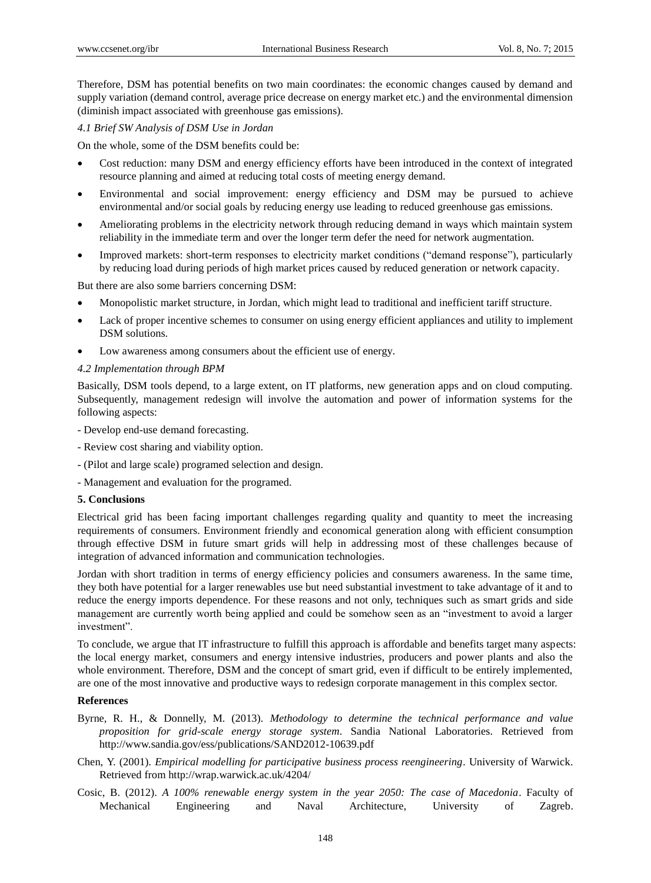Therefore, DSM has potential benefits on two main coordinates: the economic changes caused by demand and supply variation (demand control, average price decrease on energy market etc.) and the environmental dimension (diminish impact associated with greenhouse gas emissions).

# *4.1 Brief SW Analysis of DSM Use in Jordan*

On the whole, some of the DSM benefits could be:

- Cost reduction: many DSM and energy efficiency efforts have been introduced in the context of integrated resource planning and aimed at reducing total costs of meeting energy demand.
- Environmental and social improvement: energy efficiency and DSM may be pursued to achieve environmental and/or social goals by reducing energy use leading to reduced greenhouse gas emissions.
- Ameliorating problems in the electricity network through reducing demand in ways which maintain system reliability in the immediate term and over the longer term defer the need for network augmentation.
- Improved markets: short-term responses to electricity market conditions ("demand response"), particularly by reducing load during periods of high market prices caused by reduced generation or network capacity.

But there are also some barriers concerning DSM:

- Monopolistic market structure, in Jordan, which might lead to traditional and inefficient tariff structure.
- Lack of proper incentive schemes to consumer on using energy efficient appliances and utility to implement DSM solutions.
- Low awareness among consumers about the efficient use of energy.

# *4.2 Implementation through BPM*

Basically, DSM tools depend, to a large extent, on IT platforms, new generation apps and on cloud computing. Subsequently, management redesign will involve the automation and power of information systems for the following aspects:

- Develop end-use demand forecasting.
- Review cost sharing and viability option.
- (Pilot and large scale) programed selection and design.
- Management and evaluation for the programed.

## **5. Conclusions**

Electrical grid has been facing important challenges regarding quality and quantity to meet the increasing requirements of consumers. Environment friendly and economical generation along with efficient consumption through effective DSM in future smart grids will help in addressing most of these challenges because of integration of advanced information and communication technologies.

Jordan with short tradition in terms of energy efficiency policies and consumers awareness. In the same time, they both have potential for a larger renewables use but need substantial investment to take advantage of it and to reduce the energy imports dependence. For these reasons and not only, techniques such as smart grids and side management are currently worth being applied and could be somehow seen as an "investment to avoid a larger investment".

To conclude, we argue that IT infrastructure to fulfill this approach is affordable and benefits target many aspects: the local energy market, consumers and energy intensive industries, producers and power plants and also the whole environment. Therefore, DSM and the concept of smart grid, even if difficult to be entirely implemented, are one of the most innovative and productive ways to redesign corporate management in this complex sector.

## **References**

- Byrne, R. H., & Donnelly, M. (2013). *Methodology to determine the technical performance and value proposition for grid-scale energy storage system*. Sandia National Laboratories. Retrieved from http://www.sandia.gov/ess/publications/SAND2012-10639.pdf
- Chen, Y. (2001). *Empirical modelling for participative business process reengineering*. University of Warwick. Retrieved from http://wrap.warwick.ac.uk/4204/
- Cosic, B. (2012). *A 100% renewable energy system in the year 2050: The case of Macedonia*. Faculty of Mechanical Engineering and Naval Architecture, University of Zagreb.